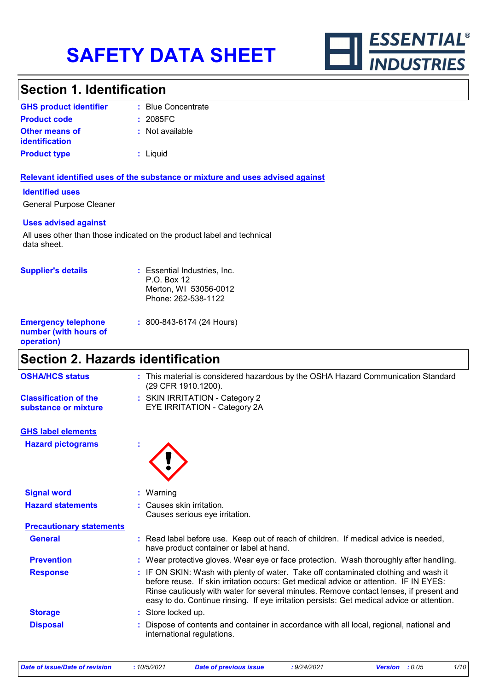

### **Section 1. Identification**

| <b>GHS product identifier</b>                  | : Blue Concentrate |
|------------------------------------------------|--------------------|
| <b>Product code</b>                            | : 2085FC           |
| <b>Other means of</b><br><i>identification</i> | : Not available    |
| <b>Product type</b>                            | $:$ Liquid         |

#### **Relevant identified uses of the substance or mixture and uses advised against**

#### **Identified uses**

General Purpose Cleaner

#### **Uses advised against**

All uses other than those indicated on the product label and technical data sheet.

| <b>Supplier's details</b>                                         | : Essential Industries, Inc.<br>$P.O.$ Box 12<br>Merton, WI 53056-0012<br>Phone: 262-538-1122 |
|-------------------------------------------------------------------|-----------------------------------------------------------------------------------------------|
| <b>Emergency telephone</b><br>number (with hours of<br>operation) | $: 800 - 843 - 6174$ (24 Hours)                                                               |

# **Section 2. Hazards identification**

| <b>OSHA/HCS status</b>                               | : This material is considered hazardous by the OSHA Hazard Communication Standard<br>(29 CFR 1910.1200). |
|------------------------------------------------------|----------------------------------------------------------------------------------------------------------|
| <b>Classification of the</b><br>substance or mixture | : SKIN IRRITATION - Category 2<br>EYE IRRITATION - Category 2A                                           |
| <b>GHS label elements</b>                            |                                                                                                          |
| <b>Hazard pictograms</b>                             |                                                                                                          |
| <b>Signal word</b>                                   | $:$ Warning                                                                                              |
| .                                                    | $\sim$ $\sim$ $\sim$ $\sim$ $\sim$ $\sim$ $\sim$                                                         |

| <b>Hazard statements</b>        | : Causes skin irritation.<br>Causes serious eye irritation.                                                                                                                                                                                                                                                                                                          |
|---------------------------------|----------------------------------------------------------------------------------------------------------------------------------------------------------------------------------------------------------------------------------------------------------------------------------------------------------------------------------------------------------------------|
| <b>Precautionary statements</b> |                                                                                                                                                                                                                                                                                                                                                                      |
| <b>General</b>                  | : Read label before use. Keep out of reach of children. If medical advice is needed,<br>have product container or label at hand.                                                                                                                                                                                                                                     |
| <b>Prevention</b>               | : Wear protective gloves. Wear eye or face protection. Wash thoroughly after handling.                                                                                                                                                                                                                                                                               |
| <b>Response</b>                 | : IF ON SKIN: Wash with plenty of water. Take off contaminated clothing and wash it<br>before reuse. If skin irritation occurs: Get medical advice or attention. IF IN EYES:<br>Rinse cautiously with water for several minutes. Remove contact lenses, if present and<br>easy to do. Continue rinsing. If eye irritation persists: Get medical advice or attention. |
| <b>Storage</b>                  | : Store locked up.                                                                                                                                                                                                                                                                                                                                                   |
| <b>Disposal</b>                 | : Dispose of contents and container in accordance with all local, regional, national and<br>international regulations.                                                                                                                                                                                                                                               |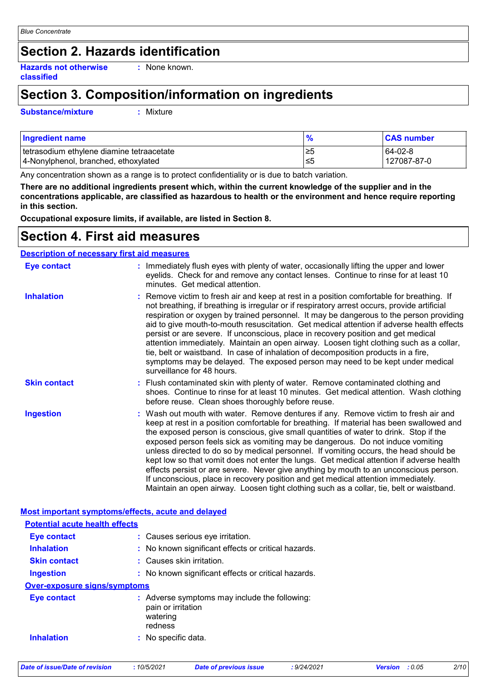### **Section 2. Hazards identification**

**Hazards not otherwise classified :** None known.

# **Section 3. Composition/information on ingredients**

**Substance/mixture :**

: Mixture

| Ingredient name                           | $\frac{9}{6}$ | <b>CAS number</b> |
|-------------------------------------------|---------------|-------------------|
| tetrasodium ethylene diamine tetraacetate | ≥5            | $64-02-8$         |
| 4-Nonylphenol, branched, ethoxylated      | ≤5            | 127087-87-0       |

Any concentration shown as a range is to protect confidentiality or is due to batch variation.

**There are no additional ingredients present which, within the current knowledge of the supplier and in the concentrations applicable, are classified as hazardous to health or the environment and hence require reporting in this section.**

**Occupational exposure limits, if available, are listed in Section 8.**

### **Section 4. First aid measures**

|                     | <b>Description of necessary first aid measures</b>                                                                                                                                                                                                                                                                                                                                                                                                                                                                                                                                                                                                                                                                                                                                                                        |
|---------------------|---------------------------------------------------------------------------------------------------------------------------------------------------------------------------------------------------------------------------------------------------------------------------------------------------------------------------------------------------------------------------------------------------------------------------------------------------------------------------------------------------------------------------------------------------------------------------------------------------------------------------------------------------------------------------------------------------------------------------------------------------------------------------------------------------------------------------|
| <b>Eye contact</b>  | : Immediately flush eyes with plenty of water, occasionally lifting the upper and lower<br>eyelids. Check for and remove any contact lenses. Continue to rinse for at least 10<br>minutes. Get medical attention.                                                                                                                                                                                                                                                                                                                                                                                                                                                                                                                                                                                                         |
| <b>Inhalation</b>   | : Remove victim to fresh air and keep at rest in a position comfortable for breathing. If<br>not breathing, if breathing is irregular or if respiratory arrest occurs, provide artificial<br>respiration or oxygen by trained personnel. It may be dangerous to the person providing<br>aid to give mouth-to-mouth resuscitation. Get medical attention if adverse health effects<br>persist or are severe. If unconscious, place in recovery position and get medical<br>attention immediately. Maintain an open airway. Loosen tight clothing such as a collar,<br>tie, belt or waistband. In case of inhalation of decomposition products in a fire,<br>symptoms may be delayed. The exposed person may need to be kept under medical<br>surveillance for 48 hours.                                                    |
| <b>Skin contact</b> | : Flush contaminated skin with plenty of water. Remove contaminated clothing and<br>shoes. Continue to rinse for at least 10 minutes. Get medical attention. Wash clothing<br>before reuse. Clean shoes thoroughly before reuse.                                                                                                                                                                                                                                                                                                                                                                                                                                                                                                                                                                                          |
| <b>Ingestion</b>    | : Wash out mouth with water. Remove dentures if any. Remove victim to fresh air and<br>keep at rest in a position comfortable for breathing. If material has been swallowed and<br>the exposed person is conscious, give small quantities of water to drink. Stop if the<br>exposed person feels sick as vomiting may be dangerous. Do not induce vomiting<br>unless directed to do so by medical personnel. If vomiting occurs, the head should be<br>kept low so that vomit does not enter the lungs. Get medical attention if adverse health<br>effects persist or are severe. Never give anything by mouth to an unconscious person.<br>If unconscious, place in recovery position and get medical attention immediately.<br>Maintain an open airway. Loosen tight clothing such as a collar, tie, belt or waistband. |

| Most important symptoms/effects, acute and delayed |                                                                                            |
|----------------------------------------------------|--------------------------------------------------------------------------------------------|
| <b>Potential acute health effects</b>              |                                                                                            |
| Eye contact                                        | : Causes serious eye irritation.                                                           |
| <b>Inhalation</b>                                  | : No known significant effects or critical hazards.                                        |
| <b>Skin contact</b>                                | : Causes skin irritation.                                                                  |
| <b>Ingestion</b>                                   | : No known significant effects or critical hazards.                                        |
| <b>Over-exposure signs/symptoms</b>                |                                                                                            |
| Eye contact                                        | : Adverse symptoms may include the following:<br>pain or irritation<br>watering<br>redness |
| <b>Inhalation</b>                                  | : No specific data.                                                                        |

| Date of issue/Date of revision |  |
|--------------------------------|--|
|--------------------------------|--|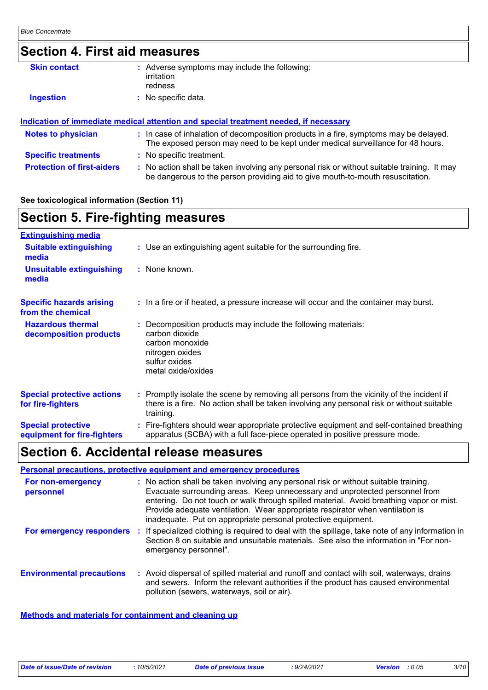| <b>Section 4. First aid measures</b> |  |                                                                                                                                                                               |
|--------------------------------------|--|-------------------------------------------------------------------------------------------------------------------------------------------------------------------------------|
| <b>Skin contact</b>                  |  | : Adverse symptoms may include the following:<br>irritation<br>redness                                                                                                        |
| <b>Ingestion</b>                     |  | : No specific data.                                                                                                                                                           |
|                                      |  | Indication of immediate medical attention and special treatment needed, if necessary                                                                                          |
| <b>Notes to physician</b>            |  | : In case of inhalation of decomposition products in a fire, symptoms may be delayed.<br>The exposed person may need to be kept under medical surveillance for 48 hours.      |
| <b>Specific treatments</b>           |  | : No specific treatment.                                                                                                                                                      |
| <b>Protection of first-aiders</b>    |  | : No action shall be taken involving any personal risk or without suitable training. It may<br>be dangerous to the person providing aid to give mouth-to-mouth resuscitation. |

#### **See toxicological information (Section 11)**

# **Section 5. Fire-fighting measures**

| <b>Extinguishing media</b>                               |                                                                                                                                                                                                     |
|----------------------------------------------------------|-----------------------------------------------------------------------------------------------------------------------------------------------------------------------------------------------------|
| <b>Suitable extinguishing</b><br>media                   | : Use an extinguishing agent suitable for the surrounding fire.                                                                                                                                     |
| <b>Unsuitable extinguishing</b><br>media                 | : None known.                                                                                                                                                                                       |
| <b>Specific hazards arising</b><br>from the chemical     | : In a fire or if heated, a pressure increase will occur and the container may burst.                                                                                                               |
| <b>Hazardous thermal</b><br>decomposition products       | Decomposition products may include the following materials:<br>carbon dioxide<br>carbon monoxide<br>nitrogen oxides<br>sulfur oxides<br>metal oxide/oxides                                          |
| <b>Special protective actions</b><br>for fire-fighters   | : Promptly isolate the scene by removing all persons from the vicinity of the incident if<br>there is a fire. No action shall be taken involving any personal risk or without suitable<br>training. |
| <b>Special protective</b><br>equipment for fire-fighters | Fire-fighters should wear appropriate protective equipment and self-contained breathing<br>apparatus (SCBA) with a full face-piece operated in positive pressure mode.                              |

# **Section 6. Accidental release measures**

|                                  |     | <b>Personal precautions, protective equipment and emergency procedures</b>                                                                                                                                                                                                                                                                                                                                       |
|----------------------------------|-----|------------------------------------------------------------------------------------------------------------------------------------------------------------------------------------------------------------------------------------------------------------------------------------------------------------------------------------------------------------------------------------------------------------------|
| For non-emergency<br>personnel   |     | : No action shall be taken involving any personal risk or without suitable training.<br>Evacuate surrounding areas. Keep unnecessary and unprotected personnel from<br>entering. Do not touch or walk through spilled material. Avoid breathing vapor or mist.<br>Provide adequate ventilation. Wear appropriate respirator when ventilation is<br>inadequate. Put on appropriate personal protective equipment. |
| For emergency responders         | -11 | If specialized clothing is required to deal with the spillage, take note of any information in<br>Section 8 on suitable and unsuitable materials. See also the information in "For non-<br>emergency personnel".                                                                                                                                                                                                 |
| <b>Environmental precautions</b> |     | : Avoid dispersal of spilled material and runoff and contact with soil, waterways, drains<br>and sewers. Inform the relevant authorities if the product has caused environmental<br>pollution (sewers, waterways, soil or air).                                                                                                                                                                                  |

#### **Methods and materials for containment and cleaning up**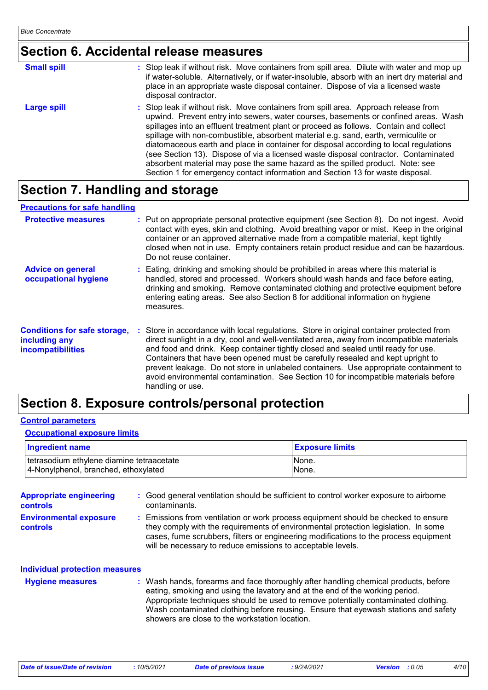# **Section 6. Accidental release measures**

| <b>Small spill</b> | : Stop leak if without risk. Move containers from spill area. Dilute with water and mop up<br>if water-soluble. Alternatively, or if water-insoluble, absorb with an inert dry material and<br>place in an appropriate waste disposal container. Dispose of via a licensed waste<br>disposal contractor.                                                                                                                                                                                                                                                                                                                                                                                                     |
|--------------------|--------------------------------------------------------------------------------------------------------------------------------------------------------------------------------------------------------------------------------------------------------------------------------------------------------------------------------------------------------------------------------------------------------------------------------------------------------------------------------------------------------------------------------------------------------------------------------------------------------------------------------------------------------------------------------------------------------------|
| <b>Large spill</b> | : Stop leak if without risk. Move containers from spill area. Approach release from<br>upwind. Prevent entry into sewers, water courses, basements or confined areas. Wash<br>spillages into an effluent treatment plant or proceed as follows. Contain and collect<br>spillage with non-combustible, absorbent material e.g. sand, earth, vermiculite or<br>diatomaceous earth and place in container for disposal according to local regulations<br>(see Section 13). Dispose of via a licensed waste disposal contractor. Contaminated<br>absorbent material may pose the same hazard as the spilled product. Note: see<br>Section 1 for emergency contact information and Section 13 for waste disposal. |

# **Section 7. Handling and storage**

#### **Precautions for safe handling**

| <b>Protective measures</b>                                                | : Put on appropriate personal protective equipment (see Section 8). Do not ingest. Avoid<br>contact with eyes, skin and clothing. Avoid breathing vapor or mist. Keep in the original<br>container or an approved alternative made from a compatible material, kept tightly<br>closed when not in use. Empty containers retain product residue and can be hazardous.<br>Do not reuse container.                                                                                                                                                                 |  |
|---------------------------------------------------------------------------|-----------------------------------------------------------------------------------------------------------------------------------------------------------------------------------------------------------------------------------------------------------------------------------------------------------------------------------------------------------------------------------------------------------------------------------------------------------------------------------------------------------------------------------------------------------------|--|
| <b>Advice on general</b><br>occupational hygiene                          | : Eating, drinking and smoking should be prohibited in areas where this material is<br>handled, stored and processed. Workers should wash hands and face before eating,<br>drinking and smoking. Remove contaminated clothing and protective equipment before<br>entering eating areas. See also Section 8 for additional information on hygiene<br>measures.                                                                                                                                                                                                   |  |
| <b>Conditions for safe storage,</b><br>including any<br>incompatibilities | Store in accordance with local regulations. Store in original container protected from<br>direct sunlight in a dry, cool and well-ventilated area, away from incompatible materials<br>and food and drink. Keep container tightly closed and sealed until ready for use.<br>Containers that have been opened must be carefully resealed and kept upright to<br>prevent leakage. Do not store in unlabeled containers. Use appropriate containment to<br>avoid environmental contamination. See Section 10 for incompatible materials before<br>handling or use. |  |

### **Section 8. Exposure controls/personal protection**

#### **Control parameters**

#### **Occupational exposure limits**

| <b>Ingredient name</b>                    | <b>Exposure limits</b> |
|-------------------------------------------|------------------------|
| tetrasodium ethylene diamine tetraacetate | None.                  |
| 4-Nonylphenol, branched, ethoxylated      | None.                  |

| <b>Appropriate engineering</b><br><b>controls</b> | : Good general ventilation should be sufficient to control worker exposure to airborne<br>contaminants.                                                                                                                                                                                                                                                                                           |
|---------------------------------------------------|---------------------------------------------------------------------------------------------------------------------------------------------------------------------------------------------------------------------------------------------------------------------------------------------------------------------------------------------------------------------------------------------------|
| <b>Environmental exposure</b><br><b>controls</b>  | : Emissions from ventilation or work process equipment should be checked to ensure<br>they comply with the requirements of environmental protection legislation. In some<br>cases, fume scrubbers, filters or engineering modifications to the process equipment<br>will be necessary to reduce emissions to acceptable levels.                                                                   |
| <b>Individual protection measures</b>             |                                                                                                                                                                                                                                                                                                                                                                                                   |
| <b>Hygiene measures</b>                           | : Wash hands, forearms and face thoroughly after handling chemical products, before<br>eating, smoking and using the lavatory and at the end of the working period.<br>Appropriate techniques should be used to remove potentially contaminated clothing.<br>Wash contaminated clothing before reusing. Ensure that eyewash stations and safety<br>showers are close to the workstation location. |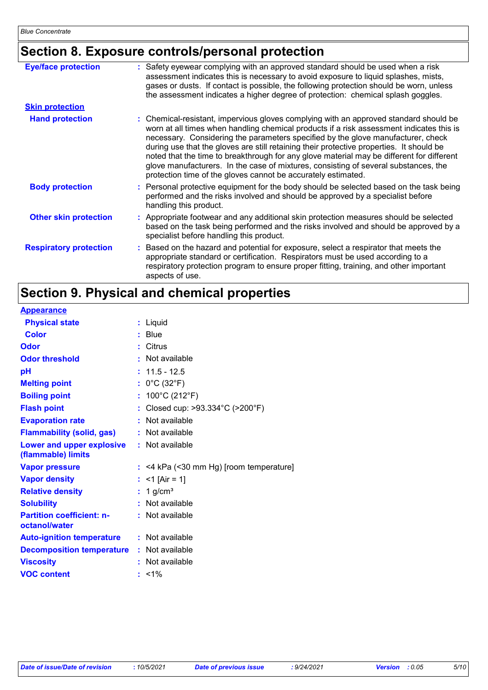# **Section 8. Exposure controls/personal protection**

| <b>Eye/face protection</b>    | : Safety eyewear complying with an approved standard should be used when a risk<br>assessment indicates this is necessary to avoid exposure to liquid splashes, mists,<br>gases or dusts. If contact is possible, the following protection should be worn, unless<br>the assessment indicates a higher degree of protection: chemical splash goggles.                                                                                                                                                                                                                                                                  |
|-------------------------------|------------------------------------------------------------------------------------------------------------------------------------------------------------------------------------------------------------------------------------------------------------------------------------------------------------------------------------------------------------------------------------------------------------------------------------------------------------------------------------------------------------------------------------------------------------------------------------------------------------------------|
| <b>Skin protection</b>        |                                                                                                                                                                                                                                                                                                                                                                                                                                                                                                                                                                                                                        |
| <b>Hand protection</b>        | : Chemical-resistant, impervious gloves complying with an approved standard should be<br>worn at all times when handling chemical products if a risk assessment indicates this is<br>necessary. Considering the parameters specified by the glove manufacturer, check<br>during use that the gloves are still retaining their protective properties. It should be<br>noted that the time to breakthrough for any glove material may be different for different<br>glove manufacturers. In the case of mixtures, consisting of several substances, the<br>protection time of the gloves cannot be accurately estimated. |
| <b>Body protection</b>        | : Personal protective equipment for the body should be selected based on the task being<br>performed and the risks involved and should be approved by a specialist before<br>handling this product.                                                                                                                                                                                                                                                                                                                                                                                                                    |
| <b>Other skin protection</b>  | : Appropriate footwear and any additional skin protection measures should be selected<br>based on the task being performed and the risks involved and should be approved by a<br>specialist before handling this product.                                                                                                                                                                                                                                                                                                                                                                                              |
| <b>Respiratory protection</b> | : Based on the hazard and potential for exposure, select a respirator that meets the<br>appropriate standard or certification. Respirators must be used according to a<br>respiratory protection program to ensure proper fitting, training, and other important<br>aspects of use.                                                                                                                                                                                                                                                                                                                                    |

# **Section 9. Physical and chemical properties**

| <b>Appearance</b>                                      |    |                                           |
|--------------------------------------------------------|----|-------------------------------------------|
| <b>Physical state</b>                                  |    | $:$ Liquid                                |
| <b>Color</b>                                           |    | <b>Blue</b>                               |
| Odor                                                   |    | : Citrus                                  |
| <b>Odor threshold</b>                                  |    | : Not available                           |
| pH                                                     |    | $: 11.5 - 12.5$                           |
| <b>Melting point</b>                                   |    | : $0^{\circ}$ C (32 $^{\circ}$ F)         |
| <b>Boiling point</b>                                   | ÷. | 100°C (212°F)                             |
| <b>Flash point</b>                                     | ř. | Closed cup: >93.334°C (>200°F)            |
| <b>Evaporation rate</b>                                | ÷  | Not available                             |
| <b>Flammability (solid, gas)</b>                       |    | : Not available                           |
| <b>Lower and upper explosive</b><br>(flammable) limits |    | : Not available                           |
| <b>Vapor pressure</b>                                  |    | $:$ <4 kPa (<30 mm Hg) [room temperature] |
| <b>Vapor density</b>                                   |    | $<$ 1 [Air = 1]                           |
| <b>Relative density</b>                                | t. | 1 $g/cm3$                                 |
| <b>Solubility</b>                                      |    | : Not available                           |
| <b>Partition coefficient: n-</b><br>octanol/water      |    | : Not available                           |
| <b>Auto-ignition temperature : Not available</b>       |    |                                           |
| <b>Decomposition temperature</b>                       |    | : Not available                           |
| <b>Viscosity</b>                                       |    | : Not available                           |
| <b>VOC content</b>                                     | t. | $1\%$                                     |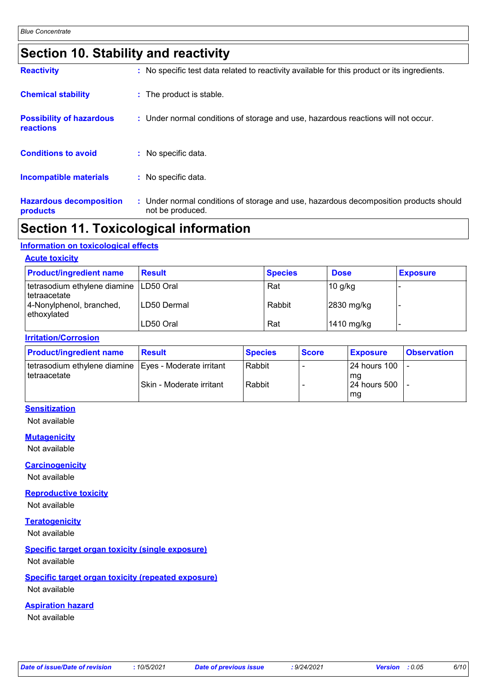# **Section 10. Stability and reactivity**

| <b>Reactivity</b>                            | : No specific test data related to reactivity available for this product or its ingredients.              |
|----------------------------------------------|-----------------------------------------------------------------------------------------------------------|
| <b>Chemical stability</b>                    | : The product is stable.                                                                                  |
| <b>Possibility of hazardous</b><br>reactions | : Under normal conditions of storage and use, hazardous reactions will not occur.                         |
| <b>Conditions to avoid</b>                   | : No specific data.                                                                                       |
| <b>Incompatible materials</b>                | : No specific data.                                                                                       |
| <b>Hazardous decomposition</b><br>products   | : Under normal conditions of storage and use, hazardous decomposition products should<br>not be produced. |

### **Section 11. Toxicological information**

#### **Information on toxicological effects**

| <b>Acute toxicity</b>                                      |               |                |             |                 |
|------------------------------------------------------------|---------------|----------------|-------------|-----------------|
| <b>Product/ingredient name</b>                             | <b>Result</b> | <b>Species</b> | <b>Dose</b> | <b>Exposure</b> |
| tetrasodium ethylene diamine   LD50 Oral<br>l tetraacetate |               | Rat            | $10$ g/kg   |                 |
| 4-Nonylphenol, branched,<br>ethoxylated                    | LD50 Dermal   | Rabbit         | 2830 mg/kg  |                 |
|                                                            | LD50 Oral     | Rat            | 1410 mg/kg  |                 |

#### **Irritation/Corrosion**

| <b>Product/ingredient name</b>                                            | <b>Result</b>            | <b>Species</b> | <b>Score</b> | <b>Exposure</b>      | <b>Observation</b> |
|---------------------------------------------------------------------------|--------------------------|----------------|--------------|----------------------|--------------------|
| tetrasodium ethylene diamine   Eyes - Moderate irritant<br>I tetraacetate |                          | Rabbit         |              | l 24 hours 100<br>mg |                    |
|                                                                           | Skin - Moderate irritant | Rabbit         |              | <b>24 hours 500</b>  |                    |
|                                                                           |                          |                |              | mg                   |                    |

### **Sensitization**

Not available

#### **Mutagenicity**

Not available

#### **Carcinogenicity**

Not available

#### **Reproductive toxicity**

Not available

#### **Teratogenicity**

Not available

### **Specific target organ toxicity (single exposure)**

Not available

#### **Specific target organ toxicity (repeated exposure)**

Not available

#### **Aspiration hazard**

Not available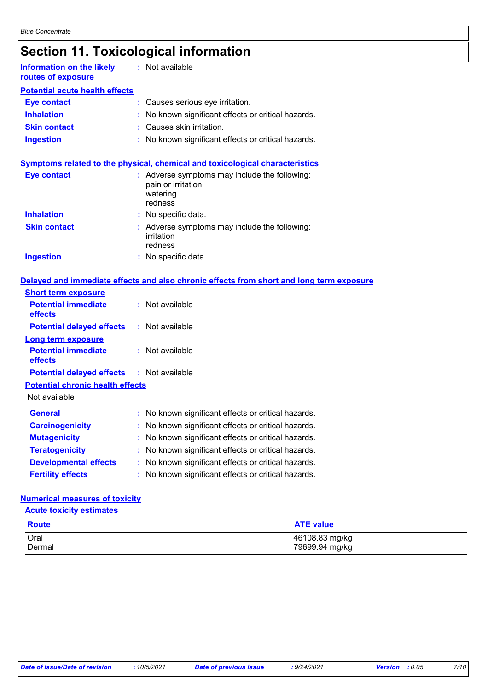# **Section 11. Toxicological information**

| Information on the likely<br>routes of exposure | : Not available                                                                                                                      |
|-------------------------------------------------|--------------------------------------------------------------------------------------------------------------------------------------|
| <b>Potential acute health effects</b>           |                                                                                                                                      |
| <b>Eye contact</b>                              | : Causes serious eye irritation.                                                                                                     |
| <b>Inhalation</b>                               | : No known significant effects or critical hazards.                                                                                  |
| <b>Skin contact</b>                             | : Causes skin irritation.                                                                                                            |
| <b>Ingestion</b>                                | : No known significant effects or critical hazards.                                                                                  |
| <b>Eye contact</b>                              | <b>Symptoms related to the physical, chemical and toxicological characteristics</b><br>: Adverse symptoms may include the following: |
|                                                 | pain or irritation<br>watering<br>redness                                                                                            |
| <b>Inhalation</b>                               | : No specific data.                                                                                                                  |
| <b>Skin contact</b>                             | : Adverse symptoms may include the following:<br>irritation<br>redness                                                               |

#### **Ingestion** No specific data. **:**

#### **Delayed and immediate effects and also chronic effects from short and long term exposure**

| <b>Short term exposure</b>                       |                                                     |
|--------------------------------------------------|-----------------------------------------------------|
| <b>Potential immediate</b><br>effects            | : Not available                                     |
| <b>Potential delayed effects</b>                 | : Not available                                     |
| Long term exposure                               |                                                     |
| <b>Potential immediate</b><br><b>effects</b>     | : Not available                                     |
| <b>Potential delayed effects : Not available</b> |                                                     |
| <b>Potential chronic health effects</b>          |                                                     |
| Not available                                    |                                                     |
| <b>General</b>                                   | : No known significant effects or critical hazards. |
| <b>Carcinogenicity</b>                           | : No known significant effects or critical hazards. |
| <b>Mutagenicity</b>                              | : No known significant effects or critical hazards. |
| <b>Teratogenicity</b>                            | : No known significant effects or critical hazards. |
| <b>Developmental effects</b>                     | : No known significant effects or critical hazards. |
| <b>Fertility effects</b>                         | : No known significant effects or critical hazards. |

#### **Numerical measures of toxicity**

**Acute toxicity estimates**

| Route       | <b>ATE</b> value |
|-------------|------------------|
| <b>Oral</b> | 46108.83 mg/kg   |
| Dermal      | 79699.94 mg/kg   |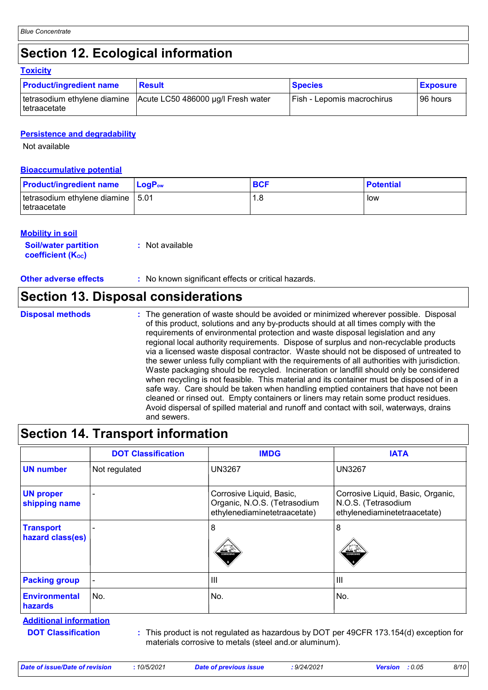# **Section 12. Ecological information**

|  | <b>Toxicity</b> |  |  |  |
|--|-----------------|--|--|--|
|--|-----------------|--|--|--|

| <b>Product/ingredient name</b> | <b>Result</b>                                                   | <b>Species</b>             | <b>Exposure</b> |
|--------------------------------|-----------------------------------------------------------------|----------------------------|-----------------|
| ⊺tetraacetate                  | tetrasodium ethylene diamine Acute LC50 486000 µg/l Fresh water | Fish - Lepomis macrochirus | 96 hours        |

#### **Persistence and degradability**

Not available

#### **Bioaccumulative potential**

| <b>Product/ingredient name</b>                       | <b>LogP</b> <sub>ow</sub> | <b>BCF</b> | <b>Potential</b> |
|------------------------------------------------------|---------------------------|------------|------------------|
| tetrasodium ethylene diamine   5.01<br>Itetraacetate |                           | l .8       | low              |

#### **Mobility in soil**

| <b>Soil/water partition</b>    | : Not available |
|--------------------------------|-----------------|
| coefficient (K <sub>oc</sub> ) |                 |

**Other adverse effects** : No known significant effects or critical hazards.

### **Section 13. Disposal considerations**

**Disposal methods :**

The generation of waste should be avoided or minimized wherever possible. Disposal of this product, solutions and any by-products should at all times comply with the requirements of environmental protection and waste disposal legislation and any regional local authority requirements. Dispose of surplus and non-recyclable products via a licensed waste disposal contractor. Waste should not be disposed of untreated to the sewer unless fully compliant with the requirements of all authorities with jurisdiction. Waste packaging should be recycled. Incineration or landfill should only be considered when recycling is not feasible. This material and its container must be disposed of in a safe way. Care should be taken when handling emptied containers that have not been cleaned or rinsed out. Empty containers or liners may retain some product residues. Avoid dispersal of spilled material and runoff and contact with soil, waterways, drains and sewers.

# **Section 14. Transport information**

|                                        | <b>DOT Classification</b> | <b>IMDG</b>                                                                              | <b>IATA</b>                                                                              |
|----------------------------------------|---------------------------|------------------------------------------------------------------------------------------|------------------------------------------------------------------------------------------|
| <b>UN number</b>                       | Not regulated             | <b>UN3267</b>                                                                            | <b>UN3267</b>                                                                            |
| <b>UN proper</b><br>shipping name      |                           | Corrosive Liquid, Basic,<br>Organic, N.O.S. (Tetrasodium<br>ethylenediaminetetraacetate) | Corrosive Liquid, Basic, Organic,<br>N.O.S. (Tetrasodium<br>ethylenediaminetetraacetate) |
| <b>Transport</b><br>hazard class(es)   |                           | 8<br>ہ گند<br><b>CORROSWI</b>                                                            | 8<br><b>CORROSM</b>                                                                      |
| <b>Packing group</b>                   |                           | $\mathbf{III}$                                                                           | $\mathbf{III}$                                                                           |
| <b>Environmental</b><br><b>hazards</b> | No.                       | No.                                                                                      | No.                                                                                      |

**Additional information**

**DOT Classification :**

This product is not regulated as hazardous by DOT per 49CFR 173.154(d) exception for materials corrosive to metals (steel and.or aluminum).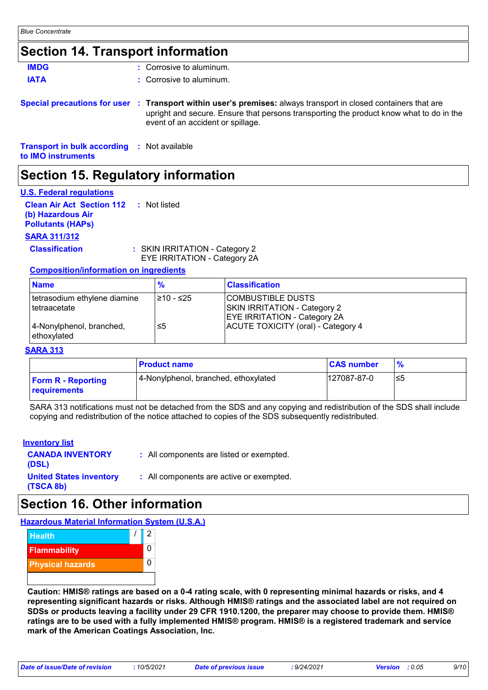### **Section 14. Transport information**

| Section 15. Regulatory information                                       |                                                                                                                                                                                                                                                 |
|--------------------------------------------------------------------------|-------------------------------------------------------------------------------------------------------------------------------------------------------------------------------------------------------------------------------------------------|
| <b>Transport in bulk according : Not available</b><br>to IMO instruments |                                                                                                                                                                                                                                                 |
|                                                                          | Special precautions for user : Transport within user's premises: always transport in closed containers that are<br>upright and secure. Ensure that persons transporting the product know what to do in the<br>event of an accident or spillage. |
| <b>IATA</b>                                                              | $\therefore$ Corrosive to aluminum.                                                                                                                                                                                                             |
| <b>IMDG</b>                                                              | $\therefore$ Corrosive to aluminum.                                                                                                                                                                                                             |

### **U.S. Federal regulations**

| o. . cacial regulations                       |                    |
|-----------------------------------------------|--------------------|
| <b>Clean Air Act Section 112 : Not listed</b> |                    |
| (b) Hazardous Air                             |                    |
| <b>Pollutants (HAPs)</b>                      |                    |
| <b>SARA 311/312</b>                           |                    |
| Claesification                                | L CIZIN IDDITATION |

**assification** : SKIN IRRITATION - Category 2 EYE IRRITATION - Category 2A

#### **Composition/information on ingredients**

| <b>Name</b>                                  | $\frac{9}{6}$ | <b>Classification</b>                                                                           |
|----------------------------------------------|---------------|-------------------------------------------------------------------------------------------------|
| tetrasodium ethylene diamine<br>tetraacetate | l≥10 - ≤25    | COMBUSTIBLE DUSTS<br><b>SKIN IRRITATION - Category 2</b><br><b>EYE IRRITATION - Category 2A</b> |
| 4-Nonylphenol, branched,<br>ethoxylated      | ≤5            | ACUTE TOXICITY (oral) - Category 4                                                              |

#### **SARA 313**

|                                           | <b>Product name</b>                  | <b>CAS number</b> | $\frac{9}{6}$ |
|-------------------------------------------|--------------------------------------|-------------------|---------------|
| <b>Form R - Reporting</b><br>requirements | 4-Nonylphenol, branched, ethoxylated | 127087-87-0       | l≤5           |

SARA 313 notifications must not be detached from the SDS and any copying and redistribution of the SDS shall include copying and redistribution of the notice attached to copies of the SDS subsequently redistributed.

#### **Inventory list**

| <b>CANADA INVENTORY</b><br>(DSL)            | : All components are listed or exempted. |
|---------------------------------------------|------------------------------------------|
| <b>United States inventory</b><br>(TSCA 8b) | : All components are active or exempted. |

# **Section 16. Other information**

**Hazardous Material Information System (U.S.A.)**



**Caution: HMIS® ratings are based on a 0-4 rating scale, with 0 representing minimal hazards or risks, and 4 representing significant hazards or risks. Although HMIS® ratings and the associated label are not required on SDSs or products leaving a facility under 29 CFR 1910.1200, the preparer may choose to provide them. HMIS® ratings are to be used with a fully implemented HMIS® program. HMIS® is a registered trademark and service mark of the American Coatings Association, Inc.**